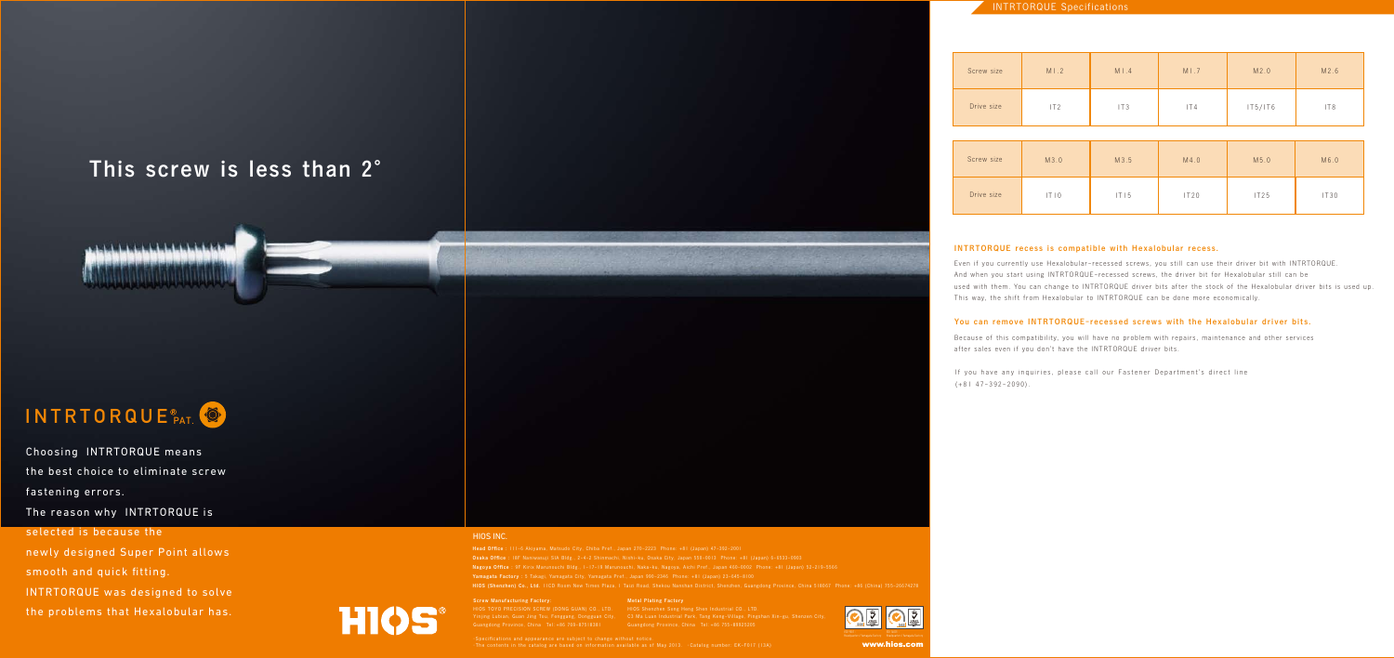## This screw is less than 2°



# INTRTORQUE PAT.

## INTRTORQUE Specifications

#### INTRTORQUE recess is compatible with Hexalobular recess.

Even if you currently use Hexalobular-recessed screws, you still can use their driver bit with INTRTORQUE. And when you start using INTRTORQUE-recessed screws, the driver bit for Hexalobular still can be used with them. You can change to INTRTORQUE driver bits after the stock of the Hexalobular driver bits is used up. This way, the shift from Hexalobular to INTRTORQUE can be done more economically.

#### You can remove INTRTORQUE-recessed screws with the Hexalobular driver bits.

Because of this compatibility, you will have no problem with repairs, maintenance and other services after sales even if you don't have the INTRTORQUE driver bits.

If you have any inquiries, please call our Fastener Department's direct line  $(+81 47-392-2090)$ .

www.hios.con

#### HIOS INC.

Nagoya Office : 9F Kirix Marunouchi Bldg., 1-17-19 Marunouchi, Naka-ku, Nagoya, Aichi Pref., Japan 460-0002 Phone: +81 (Japan) 52-219-5566 Yamagata Factory : 5 Takagi, Yamagata City, Yamagata Pref., Japan 990-2346 Phone: +81 (Japan) 23-645-8100 HIOS (Shenzhen) Co., Ltd. 11CD Room New Times Plaza, 1 Taizi Road, Shekou Nanshan District, Shenzhen, Guangdong Province, China 518067 Phone: +86 (China) 755-26674278

Screw Manufacturing Factory:

HIOS TOYO PRECISION SCREW (DONG GUAN) CO., LTD. Yinjing Lubian, Guan Jing Tou, Fenggang, Dongguan City, Guangdong Province, China Tel:+86 769-87518381 Guangdong Province, China Tel:+86 755-89925205

## Metal Plating Factory HIOS Shenzhen Song Heng Shen Industrial CO., LTD.



C3 Ma Luan Industrial Park, Tang Keng-Village, Pingshan Xin-gu, Shenzen City,



Choosing INTRTORQUE means the best choice to eliminate screw fastening errors.

The reason why INTRTORQUE is

#### selected is because the

newly designed Super Point allows smooth and quick fitting. INTRTORQUE was designed to solve the problems that Hexalobular has.



| Screw size | M1.2 | M1.4 | M1.7 | M2.0    | M2.6            |
|------------|------|------|------|---------|-----------------|
| Drive size | IT2  | IT3  | 1T4  | IT5/IT6 | IT <sub>8</sub> |

| Screw size | M3.0 | M3.5 | M4.0 | M5.0 | M6.0 |
|------------|------|------|------|------|------|
| Drive size | T 0  | T 5  | IT20 | IT25 | IT30 |